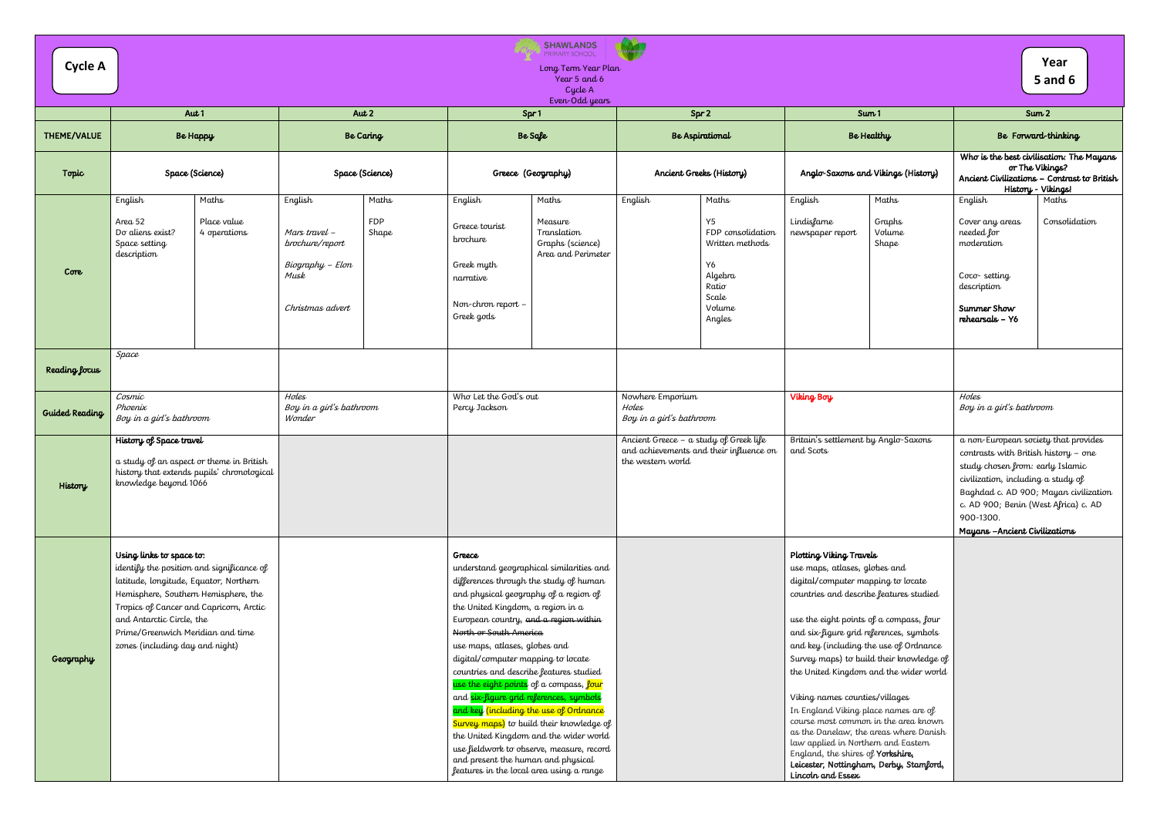| Cycle A               | <b>SHAWLANDS</b><br>PRIMARY ŚĆHOOL<br>Long Term Year Plan<br>Year 5 and 6<br>Cycle A                                                                                                                                                                       |                                            |                                                                                             |                              |                                                                                                                                                                                                                                                                                                                                                                                                                                                                                                                                       |                                                                                                                                                                             |                                                                                                                       |                                                                                                                                                                                                                                                                                                                                                                                                                                                       |                                                                                                                                                                                                                 | Year<br><b>5 and 6</b>                                                                                                                                                                                                                                                                 |                                                                                                            |
|-----------------------|------------------------------------------------------------------------------------------------------------------------------------------------------------------------------------------------------------------------------------------------------------|--------------------------------------------|---------------------------------------------------------------------------------------------|------------------------------|---------------------------------------------------------------------------------------------------------------------------------------------------------------------------------------------------------------------------------------------------------------------------------------------------------------------------------------------------------------------------------------------------------------------------------------------------------------------------------------------------------------------------------------|-----------------------------------------------------------------------------------------------------------------------------------------------------------------------------|-----------------------------------------------------------------------------------------------------------------------|-------------------------------------------------------------------------------------------------------------------------------------------------------------------------------------------------------------------------------------------------------------------------------------------------------------------------------------------------------------------------------------------------------------------------------------------------------|-----------------------------------------------------------------------------------------------------------------------------------------------------------------------------------------------------------------|----------------------------------------------------------------------------------------------------------------------------------------------------------------------------------------------------------------------------------------------------------------------------------------|------------------------------------------------------------------------------------------------------------|
|                       |                                                                                                                                                                                                                                                            | Aut $1$                                    |                                                                                             | Aut 2                        |                                                                                                                                                                                                                                                                                                                                                                                                                                                                                                                                       | Even-Odd years<br>Spr1                                                                                                                                                      | Spr 2                                                                                                                 |                                                                                                                                                                                                                                                                                                                                                                                                                                                       | Sum <sub>1</sub>                                                                                                                                                                                                | Sum <sub>2</sub>                                                                                                                                                                                                                                                                       |                                                                                                            |
| THEME/VALUE           |                                                                                                                                                                                                                                                            | <b>Be Happy</b><br><b>Be Caring</b>        |                                                                                             |                              | Be Safe<br><b>Be Aspirational</b>                                                                                                                                                                                                                                                                                                                                                                                                                                                                                                     | Be Healthy                                                                                                                                                                  |                                                                                                                       |                                                                                                                                                                                                                                                                                                                                                                                                                                                       | Be Forward-thinking                                                                                                                                                                                             |                                                                                                                                                                                                                                                                                        |                                                                                                            |
| Topic                 |                                                                                                                                                                                                                                                            | Space (Science)                            |                                                                                             | Space (Science)              |                                                                                                                                                                                                                                                                                                                                                                                                                                                                                                                                       | Greece (Geography)                                                                                                                                                          | Ancient Greeks (History)                                                                                              |                                                                                                                                                                                                                                                                                                                                                                                                                                                       | Anglo-Saxons and Vikings (History)                                                                                                                                                                              | History - Vikings!                                                                                                                                                                                                                                                                     | Who is the best civilisation: The Mayans<br>or The Vikings?<br>Ancient Civilizations - Contrast to British |
| Core                  | English<br>Area <sub>52</sub><br>Do aliens exist?<br>Space setting<br>description                                                                                                                                                                          | Maths<br>Place value<br>4 operations       | English<br>Mars travel -<br>brochure/report<br>Biography - Elon<br>Musk<br>Christmas advert | Maths<br><b>FDP</b><br>Shape | English<br>Greece tourist<br>brochure<br>Greek myth<br>narrative<br>Non-chron report -<br>Greek gods                                                                                                                                                                                                                                                                                                                                                                                                                                  | Maths<br>Measure<br>Translation<br>Graphs (science)<br>Area and Perimeter                                                                                                   | English<br>Maths<br>Y5<br>FDP consolidation<br>Written methods<br>Y6<br>Algebra<br>Ratio<br>Scale<br>Volume<br>Angles | English<br>Lindisfarne<br>newspaper report                                                                                                                                                                                                                                                                                                                                                                                                            | Maths<br>Graphs<br>Volume<br>Shape                                                                                                                                                                              | English<br>Cover any areas<br>needed for<br>moderation<br>$Coc\sigma$ - setting<br>description<br>Summer Show<br>rehearsals - Y6                                                                                                                                                       | Maths<br>Consolidation                                                                                     |
| Reading focus         | Space                                                                                                                                                                                                                                                      |                                            |                                                                                             |                              |                                                                                                                                                                                                                                                                                                                                                                                                                                                                                                                                       |                                                                                                                                                                             |                                                                                                                       |                                                                                                                                                                                                                                                                                                                                                                                                                                                       |                                                                                                                                                                                                                 |                                                                                                                                                                                                                                                                                        |                                                                                                            |
| <b>Guided Reading</b> | Cosmic<br>Phoenix<br>Boy in a girl's bathroom                                                                                                                                                                                                              |                                            | Holes<br>Boy in a girl's bathroom<br>Wonder                                                 |                              | Who Let the God's out<br>Percy Jackson                                                                                                                                                                                                                                                                                                                                                                                                                                                                                                |                                                                                                                                                                             | Nowhere Emporium<br>Holes<br>Boy in a girl's bathroom                                                                 | Viking Boy                                                                                                                                                                                                                                                                                                                                                                                                                                            |                                                                                                                                                                                                                 | Holes<br>Boy in a girl's bathroom                                                                                                                                                                                                                                                      |                                                                                                            |
| History               | History of Space travel<br>a study of an aspect or theme in British<br>knowledge beyond 1066                                                                                                                                                               | history that extends pupils' chronological |                                                                                             |                              |                                                                                                                                                                                                                                                                                                                                                                                                                                                                                                                                       |                                                                                                                                                                             | Ancient Greece - a study of Greek life<br>and achievements and their influence on<br>the western world                | Britain's settlement by Anglo-Saxons<br>and Scots                                                                                                                                                                                                                                                                                                                                                                                                     |                                                                                                                                                                                                                 | a non-European society that provides<br>contrasts with British history - one<br>study chosen from: early Islamic<br>civilization, including a study of<br>Baghdad c. AD 900; Mayan civilization<br>c. AD 900; Benin (West Africa) c. AD<br>900-1300.<br>Mayans - Ancient Civilizations |                                                                                                            |
| Geography             | Using links to space to:<br>latitude, longitude, Equator, Northern<br>Hemisphere, Southern Hemisphere, the<br>Tropics of Cancer and Capricorn, Arctic<br>and Antarctic Circle, the<br>Prime/Greenwich Meridian and time<br>zones (including day and night) | identify the position and significance of  |                                                                                             |                              | Greece<br>differences through the study of human<br>and physical geography of a region of<br>the United Kingdom, a region in a<br>European country, and a region within<br>North or South America<br>use maps, atlases, globes and<br>digital/computer mapping to locate<br>countries and describe features studied<br>use the eight points of a compass, four<br>and six-figure grid references, symbols<br>and key (including the use of Ordnance<br>and present the human and physical<br>features in the local area using a range | understand geographical similarities and<br>Survey maps) to build their knowledge of<br>the United Kingdom and the wider world<br>use fieldwork to observe, measure, record |                                                                                                                       | Plotting Viking Travels<br>use maps, atlases, globes and<br>digital/computer mapping to locate<br>countries and describe features studied<br>use the eight points of a compass, four<br>and six-figure grid references, symbols<br>and key (including the use of Ordnance<br>Viking names counties/villages<br>In England Viking place names are of<br>law applied in Northern and Eastern<br>England, the shires of Yorkshire,<br>Lincoln and Essex. | Survey maps) to build their knowledge of<br>the United Kingdom and the wider world<br>course most common in the area known<br>as the Danelaw, the areas where Danish<br>Leicester, Nottingham, Derby, Stamford, |                                                                                                                                                                                                                                                                                        |                                                                                                            |

| rear |  |
|------|--|
| м    |  |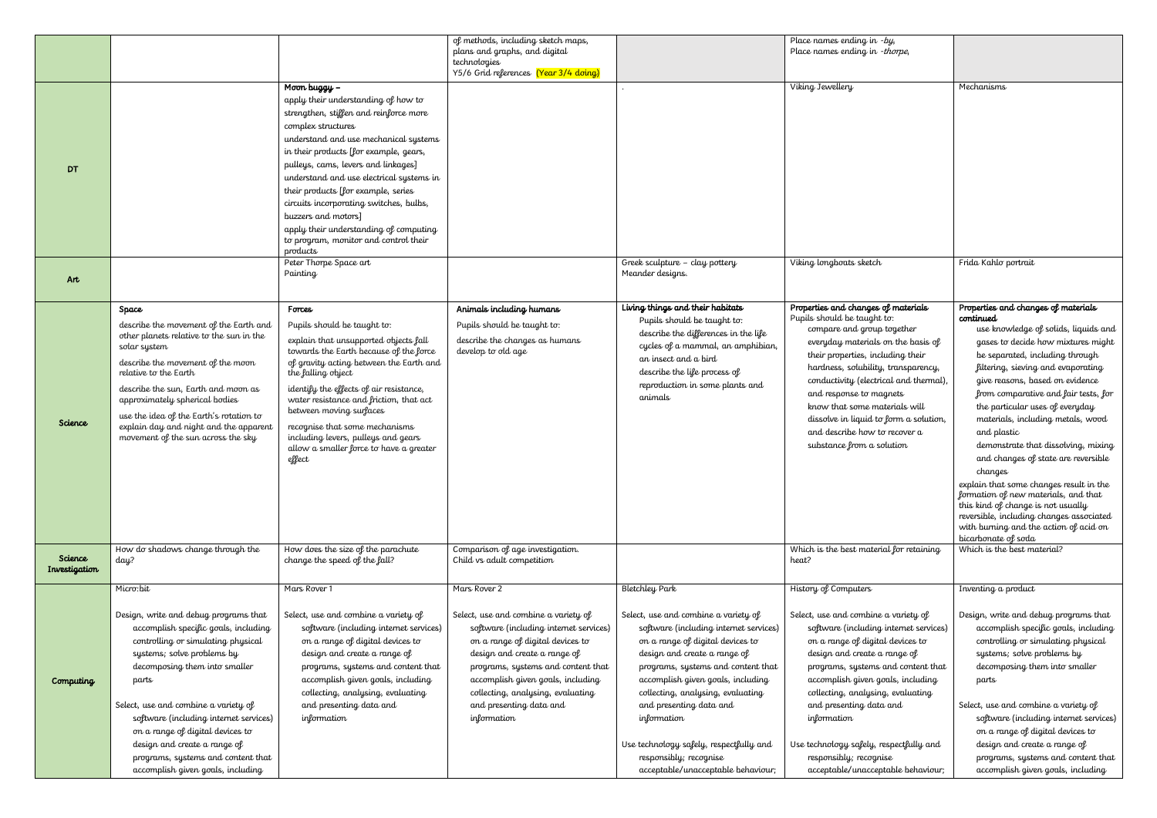|               |                                                                                    |                                                                                 | of methods, including sketch maps,                                                  |                                                                                                                                                                                 | Place names ending in $-by$                                                                                                                                                                                       |                                                                                |
|---------------|------------------------------------------------------------------------------------|---------------------------------------------------------------------------------|-------------------------------------------------------------------------------------|---------------------------------------------------------------------------------------------------------------------------------------------------------------------------------|-------------------------------------------------------------------------------------------------------------------------------------------------------------------------------------------------------------------|--------------------------------------------------------------------------------|
|               |                                                                                    |                                                                                 | plans and graphs, and digital<br>technologies                                       |                                                                                                                                                                                 | Place names ending in -thorpe,                                                                                                                                                                                    |                                                                                |
|               |                                                                                    |                                                                                 | Y5/6 Grid references (Year 3/4 doing)                                               |                                                                                                                                                                                 |                                                                                                                                                                                                                   |                                                                                |
|               |                                                                                    | Moon buggy -                                                                    |                                                                                     |                                                                                                                                                                                 | Viking Jewellery                                                                                                                                                                                                  | Mechanisms                                                                     |
|               |                                                                                    | apply their understanding of how to                                             |                                                                                     |                                                                                                                                                                                 |                                                                                                                                                                                                                   |                                                                                |
|               |                                                                                    | strengthen, stiffen and reinforce more                                          |                                                                                     |                                                                                                                                                                                 |                                                                                                                                                                                                                   |                                                                                |
|               |                                                                                    | complex structures<br>understand and use mechanical systems                     |                                                                                     |                                                                                                                                                                                 |                                                                                                                                                                                                                   |                                                                                |
|               |                                                                                    | in their products [for example, gears,                                          |                                                                                     |                                                                                                                                                                                 |                                                                                                                                                                                                                   |                                                                                |
| <b>DT</b>     |                                                                                    | pulleys, cams, levers and linkages]                                             |                                                                                     |                                                                                                                                                                                 |                                                                                                                                                                                                                   |                                                                                |
|               |                                                                                    | understand and use electrical systems in                                        |                                                                                     |                                                                                                                                                                                 |                                                                                                                                                                                                                   |                                                                                |
|               |                                                                                    | their products [for example, series                                             |                                                                                     |                                                                                                                                                                                 |                                                                                                                                                                                                                   |                                                                                |
|               |                                                                                    | circuits incorporating switches, bulbs,                                         |                                                                                     |                                                                                                                                                                                 |                                                                                                                                                                                                                   |                                                                                |
|               |                                                                                    | buzzers and motors]<br>apply their understanding of computing                   |                                                                                     |                                                                                                                                                                                 |                                                                                                                                                                                                                   |                                                                                |
|               |                                                                                    | to program, monitor and control their                                           |                                                                                     |                                                                                                                                                                                 |                                                                                                                                                                                                                   |                                                                                |
|               |                                                                                    | products                                                                        |                                                                                     |                                                                                                                                                                                 |                                                                                                                                                                                                                   |                                                                                |
|               |                                                                                    | Peter Thorpe Space art<br>Painting                                              |                                                                                     | Greek sculpture - clay pottery<br>Meander designs.                                                                                                                              | Viking longboats sketch                                                                                                                                                                                           | Frida Kahlo portrait                                                           |
| Art           |                                                                                    |                                                                                 |                                                                                     |                                                                                                                                                                                 |                                                                                                                                                                                                                   |                                                                                |
|               |                                                                                    |                                                                                 |                                                                                     |                                                                                                                                                                                 |                                                                                                                                                                                                                   |                                                                                |
|               | Space                                                                              | Forces                                                                          | Animals including humans                                                            | Living things and their habitats<br>Pupils should be taught to:                                                                                                                 | Properties and changes of materials<br>Pupils should be taught to:                                                                                                                                                | Properties and changes of materials<br>continued                               |
|               | describe the movement of the Earth and<br>other planets relative to the sun in the | Pupils should be taught to:                                                     | Pupils should be taught to:<br>describe the changes as humans<br>develop to old age | describe the differences in the life<br>cycles of a mammal, an amphibian,<br>an insect and a bird<br>describe the life process of<br>reproduction in some plants and<br>animals | compare and group together<br>everyday materials on the basis of<br>their properties, including their<br>hardness, solubility, transparency,<br>conductivity (electrical and thermal),<br>and response to magnets | use knowledge of solids, liquids and                                           |
|               | solar system                                                                       | explain that unsupported objects fall<br>towards the Earth because of the force |                                                                                     |                                                                                                                                                                                 |                                                                                                                                                                                                                   | gases to decide how mixtures might                                             |
|               | describe the movement of the moon                                                  | of gravity acting between the Earth and                                         |                                                                                     |                                                                                                                                                                                 |                                                                                                                                                                                                                   | be separated, including through<br>filtering, sieving and evaporating          |
|               | relative to the Earth                                                              | the falling object                                                              |                                                                                     |                                                                                                                                                                                 |                                                                                                                                                                                                                   | give reasons, based on evidence                                                |
|               | describe the sun, Earth and moon as                                                | identify the effects of air resistance,                                         |                                                                                     |                                                                                                                                                                                 |                                                                                                                                                                                                                   | from comparative and fair tests, for                                           |
|               | approximately spherical bodies                                                     | water resistance and friction, that act<br>between moving surfaces              |                                                                                     |                                                                                                                                                                                 | know that some materials will                                                                                                                                                                                     | the particular uses of everyday                                                |
| Science       | use the idea of the Earth's rotation to<br>explain day and night and the apparent  | recognise that some mechanisms                                                  |                                                                                     |                                                                                                                                                                                 | dissolve in liquid to form a solution,                                                                                                                                                                            | materials, including metals, wood                                              |
|               | movement of the sun across the sky                                                 | including levers, pulleys and gears                                             |                                                                                     |                                                                                                                                                                                 | and describe how to recover a                                                                                                                                                                                     | and plastic                                                                    |
|               |                                                                                    | allow a smaller force to have a greater<br>effect                               |                                                                                     |                                                                                                                                                                                 | substance from a solution                                                                                                                                                                                         | demonstrate that dissolving, mixing<br>and changes of state are reversible     |
|               |                                                                                    |                                                                                 |                                                                                     |                                                                                                                                                                                 |                                                                                                                                                                                                                   | changes                                                                        |
|               |                                                                                    |                                                                                 |                                                                                     |                                                                                                                                                                                 |                                                                                                                                                                                                                   | explain that some changes result in the                                        |
|               |                                                                                    |                                                                                 |                                                                                     |                                                                                                                                                                                 |                                                                                                                                                                                                                   | formation of new materials, and that                                           |
|               |                                                                                    |                                                                                 |                                                                                     |                                                                                                                                                                                 |                                                                                                                                                                                                                   | this kind of change is not usually<br>reversible, including changes associated |
|               |                                                                                    |                                                                                 |                                                                                     |                                                                                                                                                                                 |                                                                                                                                                                                                                   | with burning and the action of acid on                                         |
|               | How do shadows change through the                                                  | How does the size of the parachute                                              | Comparison of age investigation.                                                    |                                                                                                                                                                                 | Which is the best material for retaining                                                                                                                                                                          | bicarbonate of soda<br>Which is the best material?                             |
| Science       | day?                                                                               | change the speed of the fall?                                                   | Child vs adult competition                                                          |                                                                                                                                                                                 | heat?                                                                                                                                                                                                             |                                                                                |
| Investigation |                                                                                    |                                                                                 |                                                                                     |                                                                                                                                                                                 |                                                                                                                                                                                                                   |                                                                                |
|               | Micro:bit                                                                          | Mars Rover 1                                                                    | Mars Rover 2                                                                        | <b>Bletchley Park</b>                                                                                                                                                           | History of Computers                                                                                                                                                                                              | Inventing a product                                                            |
|               |                                                                                    |                                                                                 |                                                                                     |                                                                                                                                                                                 |                                                                                                                                                                                                                   |                                                                                |
|               | Design, write and debug programs that<br>accomplish specific goals, including      | Select, use and combine a variety of<br>software (including internet services)  | Select, use and combine a variety of<br>software (including internet services)      | Select, use and combine a variety of<br>software (including internet services)                                                                                                  | Select, use and combine a variety of<br>software (including internet services)                                                                                                                                    | Design, write and debug programs that<br>accomplish specific goals, including  |
|               | controlling or simulating physical                                                 | on a range of digital devices to                                                | on a range of digital devices to                                                    | on a range of digital devices to                                                                                                                                                | on a range of digital devices to                                                                                                                                                                                  | controlling or simulating physical                                             |
|               | systems; solve problems by                                                         | design and create a range of                                                    | design and create a range of                                                        | design and create a range of                                                                                                                                                    | design and create a range of                                                                                                                                                                                      | systems; solve problems by                                                     |
|               | decomposing them into smaller                                                      | programs, systems and content that                                              | programs, systems and content that                                                  | programs, systems and content that                                                                                                                                              | programs, systems and content that                                                                                                                                                                                | decomposing them into smaller                                                  |
| Computing     | parts                                                                              | accomplish given goals, including                                               | accomplish given goals, including                                                   | accomplish given goals, including                                                                                                                                               | accomplish given goals, including                                                                                                                                                                                 | parts                                                                          |
|               |                                                                                    | collecting, analysing, evaluating                                               | collecting, analysing, evaluating                                                   | collecting, analysing, evaluating                                                                                                                                               | collecting, analysing, evaluating                                                                                                                                                                                 |                                                                                |
|               | Select, use and combine a variety of<br>software (including internet services)     | and presenting data and<br>information                                          | and presenting data and<br>information                                              | and presenting data and<br>information                                                                                                                                          | and presenting data and<br>information                                                                                                                                                                            | Select, use and combine a variety of<br>software (including internet services) |
|               | on a range of digital devices to                                                   |                                                                                 |                                                                                     |                                                                                                                                                                                 |                                                                                                                                                                                                                   | on a range of digital devices to                                               |
|               | design and create a range of                                                       |                                                                                 |                                                                                     | Use technology safely, respectfully and                                                                                                                                         | Use technology safely, respectfully and                                                                                                                                                                           | design and create a range of                                                   |
|               | programs, systems and content that                                                 |                                                                                 |                                                                                     | responsibly; recognise                                                                                                                                                          | responsibly; recognise                                                                                                                                                                                            | programs, systems and content that                                             |
|               | accomplish given goals, including                                                  |                                                                                 |                                                                                     | acceptable/unacceptable behaviour;                                                                                                                                              | acceptable/unacceptable behaviour;                                                                                                                                                                                | accomplish given goals, including                                              |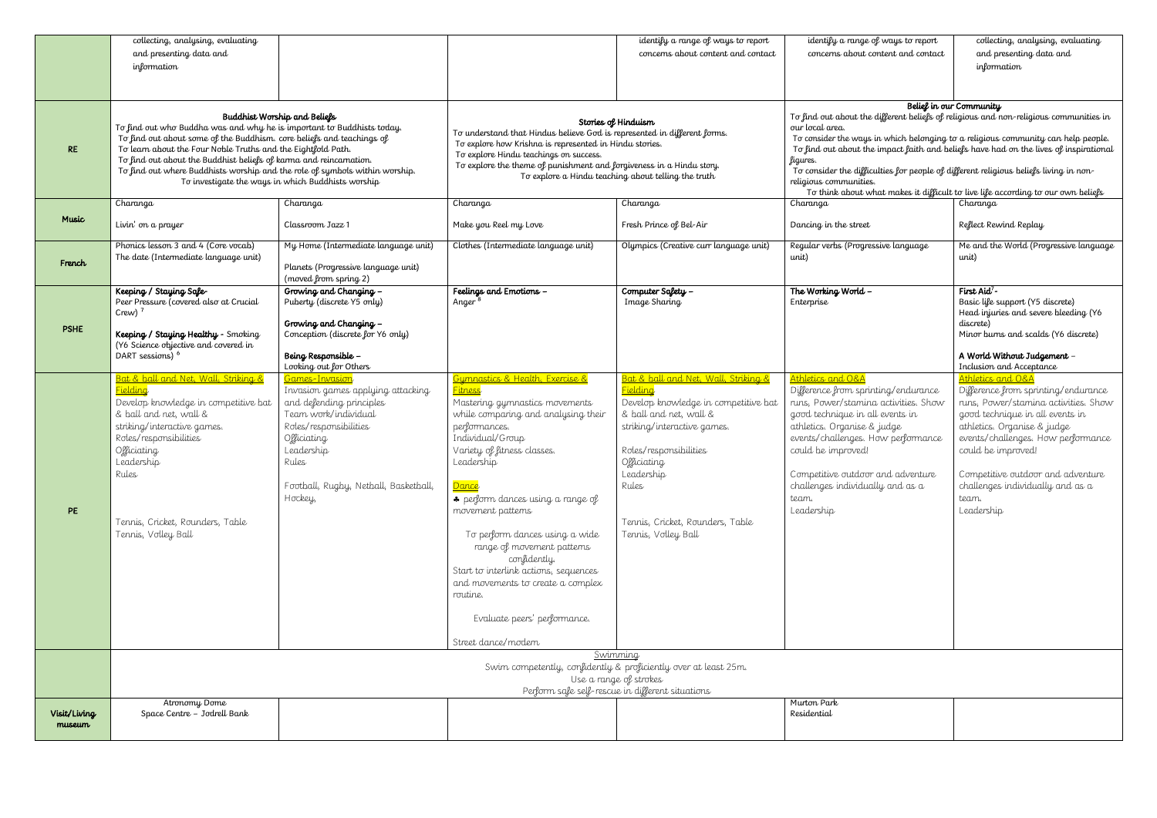|                        | collecting, analysing, evaluating<br>and presenting data and                                                                                                                                                                                                                                                                                                         |                                                                                                                                                                                                                             |                                                                                                                                                                                                                                                                                                                                                                                                                                                                                                                        | identify a range of ways to report<br>concerns about content and contact                                                                                                                                                                                                     | identify a range of ways to report<br>concerns about content and contact                                                                                                                                                                                                                                                                                                                                               | collecting, analysing, evaluating<br>and presenting data and                                                                                                                                                                                                                                                                   |  |  |
|------------------------|----------------------------------------------------------------------------------------------------------------------------------------------------------------------------------------------------------------------------------------------------------------------------------------------------------------------------------------------------------------------|-----------------------------------------------------------------------------------------------------------------------------------------------------------------------------------------------------------------------------|------------------------------------------------------------------------------------------------------------------------------------------------------------------------------------------------------------------------------------------------------------------------------------------------------------------------------------------------------------------------------------------------------------------------------------------------------------------------------------------------------------------------|------------------------------------------------------------------------------------------------------------------------------------------------------------------------------------------------------------------------------------------------------------------------------|------------------------------------------------------------------------------------------------------------------------------------------------------------------------------------------------------------------------------------------------------------------------------------------------------------------------------------------------------------------------------------------------------------------------|--------------------------------------------------------------------------------------------------------------------------------------------------------------------------------------------------------------------------------------------------------------------------------------------------------------------------------|--|--|
|                        | information                                                                                                                                                                                                                                                                                                                                                          |                                                                                                                                                                                                                             |                                                                                                                                                                                                                                                                                                                                                                                                                                                                                                                        |                                                                                                                                                                                                                                                                              |                                                                                                                                                                                                                                                                                                                                                                                                                        | information                                                                                                                                                                                                                                                                                                                    |  |  |
|                        |                                                                                                                                                                                                                                                                                                                                                                      |                                                                                                                                                                                                                             |                                                                                                                                                                                                                                                                                                                                                                                                                                                                                                                        |                                                                                                                                                                                                                                                                              |                                                                                                                                                                                                                                                                                                                                                                                                                        |                                                                                                                                                                                                                                                                                                                                |  |  |
| <b>RE</b>              | To find out who Buddha was and why he is important to Buddhists today.<br>To find out about some of the Buddhism. core beliefs and teachings of<br>To learn about the Four Noble Truths and the Eightfold Path.<br>To find out about the Buddhist beliefs of karma and reincarnation.<br>To find out where Buddhists worship and the role of symbols within worship. | Buddhist Worship and Beliefs                                                                                                                                                                                                | Stories of Hinduism<br>To understand that Hindus believe God is represented in different forms.<br>To explore how Krishna is represented in Hindu stories.<br>To explore Hindu teachings on success.<br>To explore the theme of punishment and forgiveness in a Hindu story.                                                                                                                                                                                                                                           |                                                                                                                                                                                                                                                                              | Belief in our Community<br>To find out about the different beliefs of religious and non-religious communities in<br>our local area.<br>To consider the ways in which belonging to a religious community can help people.<br>To find out about the impact faith and beliefs have had on the lives of inspirational<br>figures.<br>To consider the difficulties for people of different religious beliefs living in non- |                                                                                                                                                                                                                                                                                                                                |  |  |
|                        |                                                                                                                                                                                                                                                                                                                                                                      | To investigate the ways in which Buddhists worship                                                                                                                                                                          |                                                                                                                                                                                                                                                                                                                                                                                                                                                                                                                        | To explore a Hindu teaching about telling the truth                                                                                                                                                                                                                          | religious communities.<br>To think about what makes it difficult to live life according to our own beliefs                                                                                                                                                                                                                                                                                                             |                                                                                                                                                                                                                                                                                                                                |  |  |
|                        | Charanga                                                                                                                                                                                                                                                                                                                                                             | Charanga                                                                                                                                                                                                                    | Charanga                                                                                                                                                                                                                                                                                                                                                                                                                                                                                                               | Charanga                                                                                                                                                                                                                                                                     | Charanga                                                                                                                                                                                                                                                                                                                                                                                                               | Charanga                                                                                                                                                                                                                                                                                                                       |  |  |
| <b>Music</b>           | Livin' on a prayer                                                                                                                                                                                                                                                                                                                                                   | Classroom Jazz 1                                                                                                                                                                                                            | Make you Reel my Love                                                                                                                                                                                                                                                                                                                                                                                                                                                                                                  | Fresh Prince of Bel-Air                                                                                                                                                                                                                                                      | Dancing in the street                                                                                                                                                                                                                                                                                                                                                                                                  | Reflect Rewind Replay                                                                                                                                                                                                                                                                                                          |  |  |
| French                 | Phonics lesson 3 and 4 (Core vocab)<br>The date (Intermediate language unit)                                                                                                                                                                                                                                                                                         | My Home (Intermediate language unit)<br>Planets (Progressive language unit)<br>(moved from spring 2)                                                                                                                        | Clothes (Intermediate language unit)                                                                                                                                                                                                                                                                                                                                                                                                                                                                                   | Olympics (Creative curr language unit)                                                                                                                                                                                                                                       | Regular verbs (Progressive language<br>unit)                                                                                                                                                                                                                                                                                                                                                                           | Me and the World (Progressive language<br>unit)                                                                                                                                                                                                                                                                                |  |  |
| <b>PSHE</b>            | Keeping / Staying Safe-<br>Peer Pressure (covered also at Crucial<br>Crew) $7$                                                                                                                                                                                                                                                                                       | Growing and Changing -<br>Puberty (discrete Y5 only)<br>Growing and Changing -                                                                                                                                              | Feelings and Emotions -<br>Anger                                                                                                                                                                                                                                                                                                                                                                                                                                                                                       | Computer Safety -<br>Image Sharing                                                                                                                                                                                                                                           | The Working World -<br>Enterprise                                                                                                                                                                                                                                                                                                                                                                                      | First Aid <sup>7</sup> -<br>Basic life support (Y5 discrete)<br>Head injuries and severe bleeding (Y6<br>discrete)                                                                                                                                                                                                             |  |  |
|                        | Keeping / Staying Healthy - Smoking<br>(Y6 Science objective and covered in<br>DART sessions) <sup>6</sup>                                                                                                                                                                                                                                                           | Conception (discrete for Y6 only)<br>Being Responsible -<br>Looking out for Others                                                                                                                                          |                                                                                                                                                                                                                                                                                                                                                                                                                                                                                                                        |                                                                                                                                                                                                                                                                              |                                                                                                                                                                                                                                                                                                                                                                                                                        | Minor burns and scalds (Y6 discrete)<br>A World Without Judgement -<br>Inclusion and Acceptance                                                                                                                                                                                                                                |  |  |
| PE                     | Bat & ball and Net, Wall, Striking &<br><b>Fielding</b><br>Develop knowledge in competitive bat<br>& ball and net, wall &<br>striking/interactive games.<br>Roles/responsibilities<br>Officiating<br>Leadership<br>Rules<br>Tennis, Cricket, Rounders, Table<br>Tennis, Volley Ball                                                                                  | Games-Invasion<br>Invasion games applying attacking<br>and defending principles<br>Team work/individual<br>Roles/responsibilities<br>Officiating<br>Leadership<br>Rules<br>Football, Rugby, Netball, Basketball,<br>Hockey, | Gymnastics & Health, Exercise &<br><mark>Fitness</mark><br>Mastering gymnastics movements<br>while comparing and analysing their<br>performances.<br>Individual/Group<br>Variety of fitness classes.<br>Leadership<br>Dance<br>* perform dances using a range of<br>movement patterns<br>To perform dances using a wide<br>range of movement patterns<br>confidently.<br>Start to interlink actions, sequences<br>and movements to create a complex<br>routine.<br>Evaluate peers' performance.<br>Street dance/modern | Bat & ball and Net, Wall, Striking &<br>Fielding<br>Develop knowledge in competitive bat<br>& ball and net, wall &<br>striking/interactive games.<br>Roles/responsibilities<br>Officiating<br>Leadership<br>Rules<br>Tennis, Cricket, Rounders, Table<br>Tennis, Volley Ball | Athletics and O&A<br>Difference from sprinting/endurance<br>runs, Power/stamina activities. Show<br>good technique in all events in<br>athletics. Organise & judge<br>events/challenges. How performance<br>could be improved!<br>Competitive outdoor and adventure<br>challenges individually and as a<br>team.<br>Leadership                                                                                         | Athletics and O&A<br>Difference from sprinting/endurance<br>runs, Power/stamina activities. Show<br>good technique in all events in<br>athletics. Organise & judge<br>events/challenges. How performance<br>could be improved!<br>Competitive outdoor and adventure<br>challenges individually and as a<br>team.<br>Leadership |  |  |
|                        |                                                                                                                                                                                                                                                                                                                                                                      |                                                                                                                                                                                                                             |                                                                                                                                                                                                                                                                                                                                                                                                                                                                                                                        | Swimming                                                                                                                                                                                                                                                                     |                                                                                                                                                                                                                                                                                                                                                                                                                        |                                                                                                                                                                                                                                                                                                                                |  |  |
|                        | Swim competently, confidently & proficiently over at least 25m.<br>Use a range of strokes<br>Perform safe self-rescue in different situations                                                                                                                                                                                                                        |                                                                                                                                                                                                                             |                                                                                                                                                                                                                                                                                                                                                                                                                                                                                                                        |                                                                                                                                                                                                                                                                              |                                                                                                                                                                                                                                                                                                                                                                                                                        |                                                                                                                                                                                                                                                                                                                                |  |  |
| Visit/Living<br>museum | Atronomy Dome<br>Space Centre - Jodrell Bank                                                                                                                                                                                                                                                                                                                         |                                                                                                                                                                                                                             |                                                                                                                                                                                                                                                                                                                                                                                                                                                                                                                        |                                                                                                                                                                                                                                                                              | Murton Park<br>Residential                                                                                                                                                                                                                                                                                                                                                                                             |                                                                                                                                                                                                                                                                                                                                |  |  |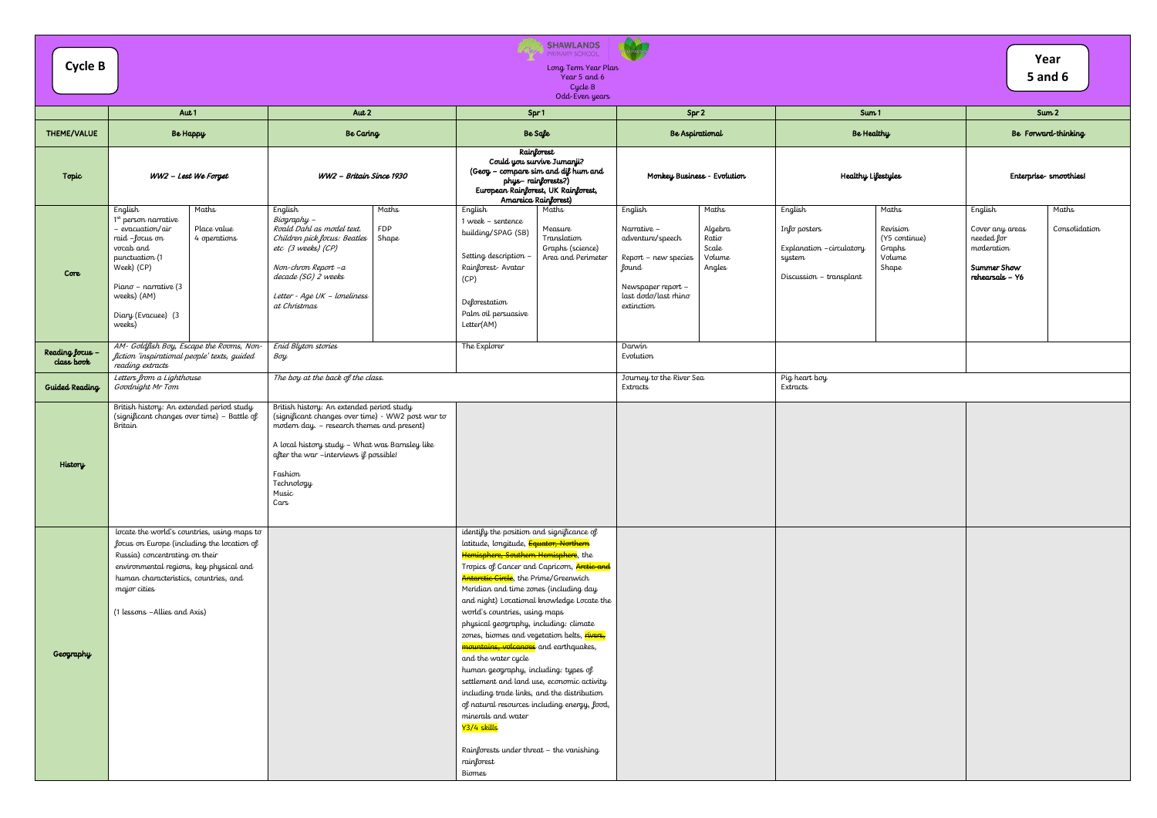|                               |                                                                                                                                                                                                                                                                  |                                                                                                                                                                                                                                                                                    | <b>SHAWLANDS</b><br>PRIMARY SCHOOL                                                                                                                                                                                                                                                                                                                                                                                                                                                                                                                                                                                                                                                                                                                                                                         |                                                                                                                                                                                                   |                                                                                                                                                              |                                                                                                                    |
|-------------------------------|------------------------------------------------------------------------------------------------------------------------------------------------------------------------------------------------------------------------------------------------------------------|------------------------------------------------------------------------------------------------------------------------------------------------------------------------------------------------------------------------------------------------------------------------------------|------------------------------------------------------------------------------------------------------------------------------------------------------------------------------------------------------------------------------------------------------------------------------------------------------------------------------------------------------------------------------------------------------------------------------------------------------------------------------------------------------------------------------------------------------------------------------------------------------------------------------------------------------------------------------------------------------------------------------------------------------------------------------------------------------------|---------------------------------------------------------------------------------------------------------------------------------------------------------------------------------------------------|--------------------------------------------------------------------------------------------------------------------------------------------------------------|--------------------------------------------------------------------------------------------------------------------|
| <b>Cycle B</b>                |                                                                                                                                                                                                                                                                  |                                                                                                                                                                                                                                                                                    | Long Term Year Plan<br>Year 5 and 6<br>Cycle B                                                                                                                                                                                                                                                                                                                                                                                                                                                                                                                                                                                                                                                                                                                                                             |                                                                                                                                                                                                   |                                                                                                                                                              | Year<br><b>5 and 6</b>                                                                                             |
|                               |                                                                                                                                                                                                                                                                  |                                                                                                                                                                                                                                                                                    | Odd-Even years                                                                                                                                                                                                                                                                                                                                                                                                                                                                                                                                                                                                                                                                                                                                                                                             |                                                                                                                                                                                                   |                                                                                                                                                              |                                                                                                                    |
|                               | Aut 1                                                                                                                                                                                                                                                            | Aut $2$                                                                                                                                                                                                                                                                            | Spr1                                                                                                                                                                                                                                                                                                                                                                                                                                                                                                                                                                                                                                                                                                                                                                                                       | Spr 2                                                                                                                                                                                             | Sum <sub>1</sub>                                                                                                                                             | Sum <sub>2</sub>                                                                                                   |
| THEME/VALUE                   | <b>Be Happy</b>                                                                                                                                                                                                                                                  | Be Caring                                                                                                                                                                                                                                                                          | Be Safe                                                                                                                                                                                                                                                                                                                                                                                                                                                                                                                                                                                                                                                                                                                                                                                                    | Be Aspirational                                                                                                                                                                                   | Be Healthy                                                                                                                                                   | Be Forward-thinking                                                                                                |
| Topic                         | WW2 - Lest We Forget                                                                                                                                                                                                                                             | WW2 - Britain Since 1930                                                                                                                                                                                                                                                           | Rainforest<br>Could you survive Jumanji?<br>(Geog - compare sim and dif hum and<br>phys-rainforests?)<br>European Rainforest, UK Rainforest,<br>Amareica Rainforest)                                                                                                                                                                                                                                                                                                                                                                                                                                                                                                                                                                                                                                       | Monkey Business - Evolution                                                                                                                                                                       | Healthy Lifestyles                                                                                                                                           | Enterprise-smoothies!                                                                                              |
| Core                          | Maths<br>English<br>$1st$ person narrative<br>- evacuation/air<br>Place value<br>raid -focus on<br>4 operations<br>vocab and<br>punctuation (1<br>Week) (CP)<br>Piano - narrative (3<br>weeks) (AM)<br>Diary (Evacuee) (3<br>weeks)                              | English<br>Maths<br>$Biography -$<br>Roald Dahl as model text.<br><b>FDP</b><br>Shape<br>Children pick focus: Beatles<br>etc (3 weeks) (CP)<br>Non-chron Report - a<br>decade (SG) 2 weeks<br>Letter - Age UK - loneliness<br>at Christmas                                         | English<br>Maths<br>1 week - sentence<br>Measure<br>building/SPAG (SB)<br>Translation<br>Graphs (science)<br>Setting description<br>Area and Perimeter<br>Rainforest-Avatar<br>(CP)<br>Deforestation<br>Palm oil persuasive<br>Letter(AM)                                                                                                                                                                                                                                                                                                                                                                                                                                                                                                                                                                  | English<br>Maths<br>Algebra<br>Narrative -<br>adventure/speech<br>Ratio<br>Scale<br>Volume<br>Report - new species<br>Angles<br>lound<br>Newspaper report -<br>last dodo/last rhino<br>extinction | English<br>Maths<br>Revision<br>Info posters<br>(Y5 continue)<br>Explanation - circulatory<br>Graphs<br>Volume<br>system<br>Shape<br>Discussion - transplant | English<br>Maths<br>Consolidation<br>Cover any areas<br>needed for<br>moderation<br>Summer Show<br>rehearsals - Y6 |
| Reading focus -<br>class book | AM- Goldfish Boy, Escape the Rooms, Non-<br>fiction 'inspirational people' texts, guided<br>reading extracts                                                                                                                                                     | Enid Blyton stories<br>Boy                                                                                                                                                                                                                                                         | The Explorer                                                                                                                                                                                                                                                                                                                                                                                                                                                                                                                                                                                                                                                                                                                                                                                               | Darwin<br>Evolution                                                                                                                                                                               |                                                                                                                                                              |                                                                                                                    |
| <b>Guided Reading</b>         | The boy at the back of the class.<br>Letters from a Lighthouse<br>Goodnight Mr Tom                                                                                                                                                                               |                                                                                                                                                                                                                                                                                    |                                                                                                                                                                                                                                                                                                                                                                                                                                                                                                                                                                                                                                                                                                                                                                                                            | Journey to the River Sea<br>Extracts                                                                                                                                                              | Pig heart boy<br>Extracts                                                                                                                                    |                                                                                                                    |
| History                       | British history: An extended period study<br>(significant changes over time) - Battle of<br>Britain                                                                                                                                                              | British history: An extended period study<br>(significant changes over time) - WW2 post war to<br>modern day. - research themes and present)<br>A local history study - What was Barnsley like<br>after the war -interviews if possible!<br>Fashion<br>Technology<br>Music<br>Cars |                                                                                                                                                                                                                                                                                                                                                                                                                                                                                                                                                                                                                                                                                                                                                                                                            |                                                                                                                                                                                                   |                                                                                                                                                              |                                                                                                                    |
| Geography                     | locate the world's countries, using maps to<br>focus on Europe (including the location of<br>Russia) concentrating on their<br>environmental regions, key physical and<br>human characteristics, countries, and<br>major cities<br>(1 lessons - Allies and Axis) |                                                                                                                                                                                                                                                                                    | identify the position and significance of<br>latitude, longitude, Equator, Northern<br>Hemisphere, Southern Hemisphere, the<br>Tropics of Cancer and Capricorn, Arctic and<br>Antarctic Circle, the Prime/Greenwich<br>Meridian and time zones (including day<br>and night) Locational knowledge Locate the<br>world's countries, using maps<br>physical geography, including: climate<br>zones, biomes and vegetation belts, rivers,<br>mountains, volcanoes and earthquakes,<br>and the water cycle<br>human geography, including: types of<br>settlement and land use, economic activity<br>including trade links, and the distribution<br>of natural resources including energy, food,<br>minerals and water<br>Y3/4 skills<br>Rainforests under threat - the vanishing<br>rainforest<br><b>Biomes</b> |                                                                                                                                                                                                   |                                                                                                                                                              |                                                                                                                    |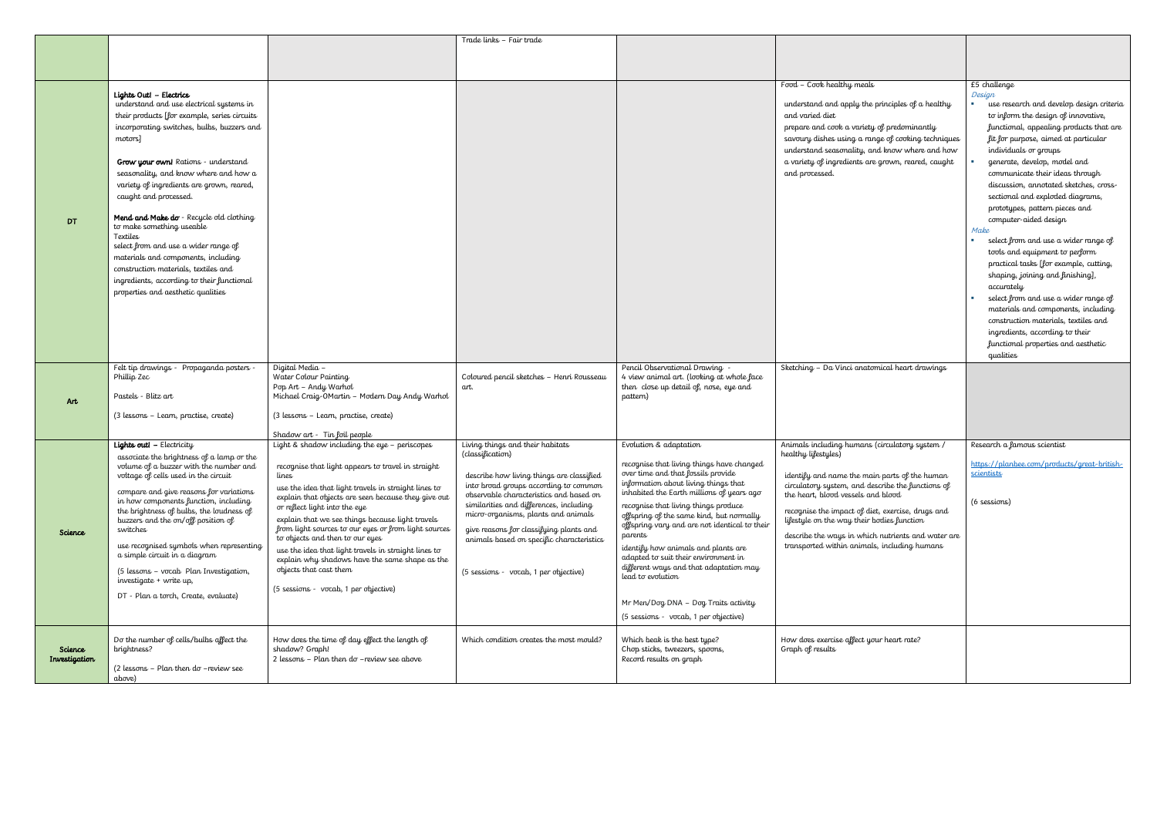|               |                                                                                |                                                                                                             | Trade links - Fair trade                                                           |                                                                                |                                                                                                    |                                                    |
|---------------|--------------------------------------------------------------------------------|-------------------------------------------------------------------------------------------------------------|------------------------------------------------------------------------------------|--------------------------------------------------------------------------------|----------------------------------------------------------------------------------------------------|----------------------------------------------------|
|               |                                                                                |                                                                                                             |                                                                                    |                                                                                |                                                                                                    |                                                    |
|               |                                                                                |                                                                                                             |                                                                                    |                                                                                |                                                                                                    |                                                    |
|               |                                                                                |                                                                                                             |                                                                                    |                                                                                |                                                                                                    |                                                    |
|               |                                                                                |                                                                                                             |                                                                                    |                                                                                | Food - Cook healthy meals                                                                          | £5 challenge                                       |
|               | Lights Out! - Electrics<br>understand and use electrical systems in            |                                                                                                             |                                                                                    |                                                                                | understand and apply the principles of a healthy                                                   | Design<br>use research and develop design criteria |
|               | their products [for example, series circuits                                   |                                                                                                             |                                                                                    |                                                                                | and varied diet                                                                                    | to inform the design of innovative,                |
|               | incorporating switches, bulbs, buzzers and                                     |                                                                                                             |                                                                                    |                                                                                | prepare and cook a variety of predominantly                                                        | functional, appealing products that are            |
|               | motors]                                                                        |                                                                                                             |                                                                                    |                                                                                | savoury dishes using a range of cooking techniques                                                 | fit for purpose, aimed at particular               |
|               |                                                                                |                                                                                                             |                                                                                    |                                                                                | understand seasonality, and know where and how                                                     | individuals or groups                              |
|               | <b>Grow your own!</b> Rations - understand                                     |                                                                                                             |                                                                                    |                                                                                | a variety of ingredients are grown, reared, caught                                                 | generate, develop, model and                       |
|               | seasonality, and know where and how a                                          |                                                                                                             |                                                                                    |                                                                                | and processed.                                                                                     | communicate their ideas through                    |
|               | variety of ingredients are grown, reared,                                      |                                                                                                             |                                                                                    |                                                                                |                                                                                                    | discussion, annotated sketches, cross-             |
|               | caught and processed.                                                          |                                                                                                             |                                                                                    |                                                                                |                                                                                                    | sectional and exploded diagrams,                   |
|               |                                                                                |                                                                                                             |                                                                                    |                                                                                |                                                                                                    | prototypes, pattern pieces and                     |
| <b>DT</b>     | Mend and Make do - Recycle old clothing                                        |                                                                                                             |                                                                                    |                                                                                |                                                                                                    | computer-aided design                              |
|               | to make something useable                                                      |                                                                                                             |                                                                                    |                                                                                |                                                                                                    | Make                                               |
|               | Textiles                                                                       |                                                                                                             |                                                                                    |                                                                                |                                                                                                    | select from and use a wider range of               |
|               | select from and use a wider range of<br>materials and components, including    |                                                                                                             |                                                                                    |                                                                                |                                                                                                    | tools and equipment to perform                     |
|               | construction materials, textiles and                                           |                                                                                                             |                                                                                    |                                                                                |                                                                                                    | practical tasks [for example, cutting,             |
|               | ingredients, according to their functional                                     |                                                                                                             |                                                                                    |                                                                                |                                                                                                    | shaping, joining and finishing],                   |
|               | properties and aesthetic qualities                                             |                                                                                                             |                                                                                    |                                                                                |                                                                                                    | accurately                                         |
|               |                                                                                |                                                                                                             |                                                                                    |                                                                                |                                                                                                    | select from and use a wider range of               |
|               |                                                                                |                                                                                                             |                                                                                    |                                                                                |                                                                                                    | materials and components, including                |
|               |                                                                                |                                                                                                             |                                                                                    |                                                                                |                                                                                                    | construction materials, textiles and               |
|               |                                                                                |                                                                                                             |                                                                                    |                                                                                |                                                                                                    | ingredients, according to their                    |
|               |                                                                                |                                                                                                             |                                                                                    |                                                                                |                                                                                                    | functional properties and aesthetic                |
|               |                                                                                |                                                                                                             |                                                                                    |                                                                                |                                                                                                    | qualities                                          |
|               | Felt tip drawings - Propaganda posters -<br>Phillip Zec                        | Digital Media -<br>Water Colour Painting                                                                    | Coloured pencil sketches - Henri Rousseau                                          | Pencil Observational Drawing -<br>4 view animal art. (looking at whole face    | Sketching - Da Vinci anatomical heart drawings                                                     |                                                    |
|               |                                                                                | Pop Art - Andy Warhol                                                                                       | art.                                                                               | then close up detail of, nose, eye and                                         |                                                                                                    |                                                    |
| Art           | Pastels - Blitz art                                                            | Michael Craig-OMartin - Modern Day Andy Warhol                                                              |                                                                                    | pattern)                                                                       |                                                                                                    |                                                    |
|               |                                                                                |                                                                                                             |                                                                                    |                                                                                |                                                                                                    |                                                    |
|               | (3 lessons – Learn, practise, create)                                          | (3 lessons - Learn, practise, create)                                                                       |                                                                                    |                                                                                |                                                                                                    |                                                    |
|               |                                                                                | Shadow art - Tin foil people                                                                                |                                                                                    |                                                                                |                                                                                                    |                                                    |
|               | <b>Lights outl - Electricity</b>                                               | Light & shadow including the eye - periscopes                                                               | Living things and their habitats                                                   | Evolution & adaptation                                                         | Animals including humans (circulatory system /                                                     | Research a famous scientist                        |
|               | associate the brightness of a lamp or the                                      |                                                                                                             | (classification)                                                                   |                                                                                | healthy lifestyles)                                                                                |                                                    |
|               | volume of a buzzer with the number and                                         | recognise that light appears to travel in straight                                                          |                                                                                    | recognise that living things have changed                                      |                                                                                                    | https://planbee.com/products/great-british-        |
|               | voltage of cells used in the circuit                                           | lines                                                                                                       | describe how living things are classified<br>into broad groups according to common | over time and that fossils provide<br>information about living things that     | identify and name the main parts of the human<br>circulatory system, and describe the functions of | <u>scientists</u>                                  |
|               | compare and give reasons for variations                                        | use the idea that light travels in straight lines to<br>explain that objects are seen because they give out | observable characteristics and based on                                            | inhabited the Earth millions of years ago                                      | the heart, blood vessels and blood                                                                 |                                                    |
|               | in how components function, including                                          | or reflect light into the eye                                                                               | similarities and differences, including                                            | recognise that living things produce                                           |                                                                                                    | (6 sessions)                                       |
|               | the brightness of bulbs, the loudness of<br>buzzers and the on/off position of | explain that we see things because light travels                                                            | micro-organisms, plants and animals                                                | offspring of the same kind, but normally                                       | recognise the impact of diet, exercise, drugs and<br>lifestyle on the way their bodies function    |                                                    |
| Science       | switches                                                                       | from light sources to our eyes or from light sources                                                        | give reasons for classifying plants and                                            | offspring vary and are not identical to their                                  |                                                                                                    |                                                    |
|               |                                                                                | to objects and then to our eyes                                                                             | animals based on specific characteristics                                          | parents                                                                        | describe the ways in which nutrients and water are                                                 |                                                    |
|               | use recognised symbols when representing<br>a simple circuit in a diagram      | use the idea that light travels in straight lines to                                                        |                                                                                    | identify how animals and plants are                                            | transported within animals, including humans                                                       |                                                    |
|               |                                                                                | explain why shadows have the same shape as the                                                              |                                                                                    | adapted to suit their environment in<br>different ways and that adaptation may |                                                                                                    |                                                    |
|               | (5 lessons – vocab Plan Investigation,<br>investigate + write up,              | objects that cast them                                                                                      | (5 sessions - vocab, 1 per objective)                                              | lead to evolution                                                              |                                                                                                    |                                                    |
|               |                                                                                | (5 sessions - vocab, 1 per objective)                                                                       |                                                                                    |                                                                                |                                                                                                    |                                                    |
|               | DT - Plan a torch, Create, evaluate)                                           |                                                                                                             |                                                                                    | Mr Men/Dog DNA - Dog Traits activity                                           |                                                                                                    |                                                    |
|               |                                                                                |                                                                                                             |                                                                                    | (5 sessions - vocab, 1 per objective)                                          |                                                                                                    |                                                    |
|               |                                                                                |                                                                                                             |                                                                                    |                                                                                |                                                                                                    |                                                    |
|               | Do the number of cells/bulbs affect the                                        | How does the time of day effect the length of                                                               | Which condition creates the most mould?                                            | Which beak is the best type?                                                   | How does exercise affect your heart rate?                                                          |                                                    |
| Science       | brightness?                                                                    | shadow? Graph!                                                                                              |                                                                                    | Chop sticks, tweezers, spoons,                                                 | Graph of results                                                                                   |                                                    |
| Investigation |                                                                                | 2 lessons $-$ Plan then do $-$ review see above                                                             |                                                                                    | Record results on graph                                                        |                                                                                                    |                                                    |
|               | $(2$ lessons - Plan then do -review see<br>above)                              |                                                                                                             |                                                                                    |                                                                                |                                                                                                    |                                                    |
|               |                                                                                |                                                                                                             |                                                                                    |                                                                                |                                                                                                    |                                                    |